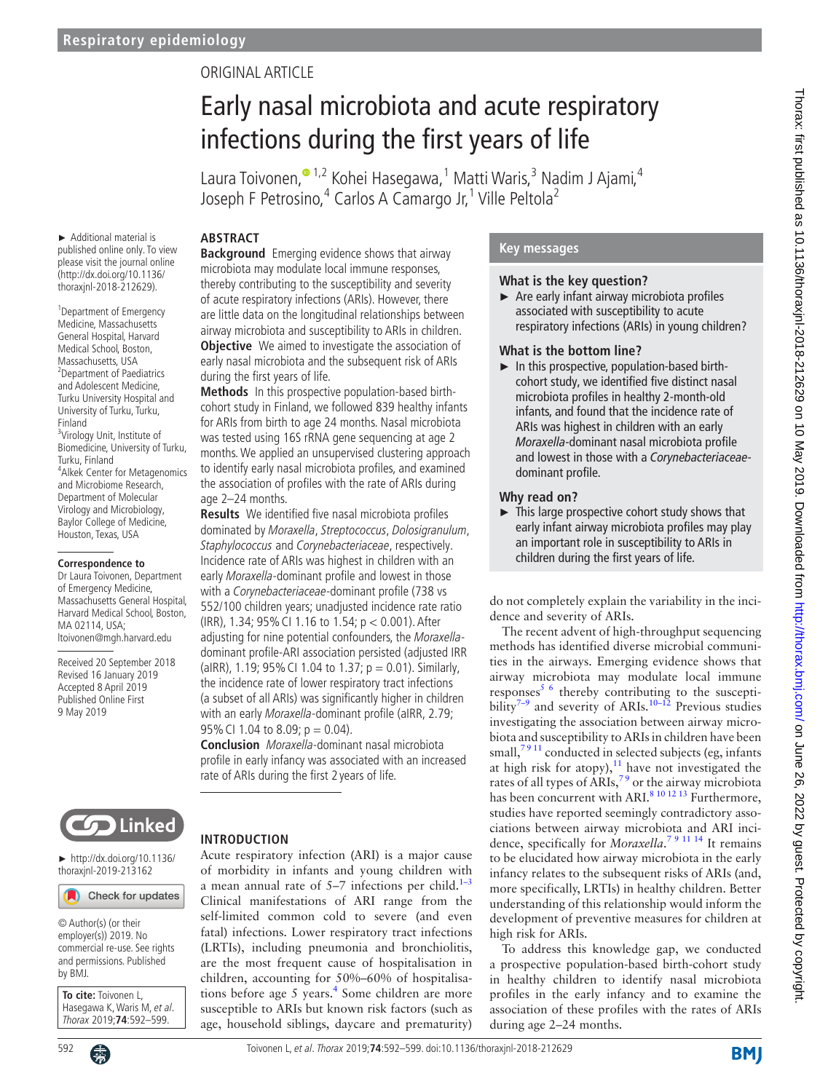# Original article

# Early nasal microbiota and acute respiratory infections during the first years of life

Laura Toivonen, $^{\bullet}$  1,2 Kohei Hasegawa,  $^1$  Matti Waris,  $^3$  Nadim J Ajami, $^4$ Joseph F Petrosino,<sup>4</sup> Carlos A Camargo Jr,<sup>1</sup> Ville Peltola<sup>2</sup>

## **Abstract**

► Additional material is published online only. To view please visit the journal online [\(http://dx.doi.org/10.1136/](http://dx.doi.org/10.1136/thoraxjnl-2018-212629) [thoraxjnl-2018-212629](http://dx.doi.org/10.1136/thoraxjnl-2018-212629)).

<sup>1</sup> Department of Emergency Medicine, Massachusetts General Hospital, Harvard Medical School, Boston, Massachusetts, USA <sup>2</sup> <sup>2</sup> Department of Paediatrics and Adolescent Medicine, Turku University Hospital and University of Turku, Turku, Finland <sup>3</sup>Virology Unit, Institute of

Biomedicine, University of Turku, Turku, Finland <sup>4</sup> Alkek Center for Metagenomics and Microbiome Research, Department of Molecular Virology and Microbiology, Baylor College of Medicine, Houston, Texas, USA

#### **Correspondence to**

Dr Laura Toivonen, Department of Emergency Medicine, Massachusetts General Hospital, Harvard Medical School, Boston, MA 02114, USA; ltoivonen@mgh.harvard.edu

Received 20 September 2018 Revised 16 January 2019 Accepted 8 April 2019 Published Online First 9 May 2019

**Background** Emerging evidence shows that airway microbiota may modulate local immune responses, thereby contributing to the susceptibility and severity of acute respiratory infections (ARIs). However, there are little data on the longitudinal relationships between airway microbiota and susceptibility to ARIs in children. **Objective** We aimed to investigate the association of early nasal microbiota and the subsequent risk of ARIs during the first years of life.

**Methods** In this prospective population-based birthcohort study in Finland, we followed 839 healthy infants for ARIs from birth to age 24 months. Nasal microbiota was tested using 16S rRNA gene sequencing at age 2 months. We applied an unsupervised clustering approach to identify early nasal microbiota profiles, and examined the association of profiles with the rate of ARIs during age 2–24 months.

**Results** We identified five nasal microbiota profiles dominated by Moraxella, Streptococcus, Dolosigranulum, Staphylococcus and Corynebacteriaceae, respectively. Incidence rate of ARIs was highest in children with an early Moraxella-dominant profile and lowest in those with a Corynebacteriaceae-dominant profile (738 vs 552/100 children years; unadjusted incidence rate ratio (IRR), 1.34; 95% CI 1.16 to 1.54; p < 0.001). After adjusting for nine potential confounders, the Moraxelladominant profile-ARI association persisted (adjusted IRR (aIRR), 1.19; 95% CI 1.04 to 1.37;  $p = 0.01$ ). Similarly, the incidence rate of lower respiratory tract infections (a subset of all ARIs) was significantly higher in children with an early Moraxella-dominant profile (aIRR, 2.79; 95% CI 1.04 to 8.09; p = 0.04).

**Conclusion** Moraxella-dominant nasal microbiota profile in early infancy was associated with an increased rate of ARIs during the first 2 years of life.



► [http://dx.doi.org/10.1136/](http://dx.doi.org/10.1136/thoraxjnl-2019-213162) [thoraxjnl-2019-213162](http://dx.doi.org/10.1136/thoraxjnl-2019-213162)

Check for updates

© Author(s) (or their employer(s)) 2019. No commercial re-use. See rights and permissions. Published by BMJ.

**To cite:** Toivonen L, Hasegawa K, Waris M, et al. Thorax 2019;**74**:592–599.

# **Introduction**

Acute respiratory infection (ARI) is a major cause of morbidity in infants and young children with a mean annual rate of  $5-7$  infections per child.<sup>1-3</sup> Clinical manifestations of ARI range from the self-limited common cold to severe (and even fatal) infections. Lower respiratory tract infections (LRTIs), including pneumonia and bronchiolitis, are the most frequent cause of hospitalisation in children, accounting for 50%–60% of hospitalisations before age 5 years.<sup>4</sup> Some children are more susceptible to ARIs but known risk factors (such as age, household siblings, daycare and prematurity)

## **Key messages**

#### **What is the key question?**

► Are early infant airway microbiota profiles associated with susceptibility to acute respiratory infections (ARIs) in young children?

#### **What is the bottom line?**

 $\blacktriangleright$  In this prospective, population-based birthcohort study, we identified five distinct nasal microbiota profiles in healthy 2-month-old infants, and found that the incidence rate of ARIs was highest in children with an early *Moraxella*-dominant nasal microbiota profile and lowest in those with a *Corynebacteriaceae*dominant profile.

## **Why read on?**

 $\blacktriangleright$  This large prospective cohort study shows that early infant airway microbiota profiles may play an important role in susceptibility to ARIs in children during the first years of life.

do not completely explain the variability in the incidence and severity of ARIs.

The recent advent of high-throughput sequencing methods has identified diverse microbial communities in the airways. Emerging evidence shows that airway microbiota may modulate local immune responses $5/6$  thereby contributing to the susceptibility<sup>7–9</sup> and severity of ARIs.<sup>10–12</sup> Previous studies investigating the association between airway microbiota and susceptibility to ARIs in children have been small,<sup>7911</sup> conducted in selected subjects (eg, infants at high risk for atopy), $11$  have not investigated the rates of all types of ARIs,<sup>79</sup> or the airway microbiota has been concurrent with ARI.<sup>8 10 12 13</sup> Furthermore, studies have reported seemingly contradictory associations between airway microbiota and ARI incidence, specifically for *Moraxella*.<sup>79</sup><sup>11</sup><sup>14</sup> It remains to be elucidated how airway microbiota in the early infancy relates to the subsequent risks of ARIs (and, more specifically, LRTIs) in healthy children. Better understanding of this relationship would inform the development of preventive measures for children at high risk for ARIs.

To address this knowledge gap, we conducted a prospective population-based birth-cohort study in healthy children to identify nasal microbiota profiles in the early infancy and to examine the association of these profiles with the rates of ARIs during age 2–24 months.

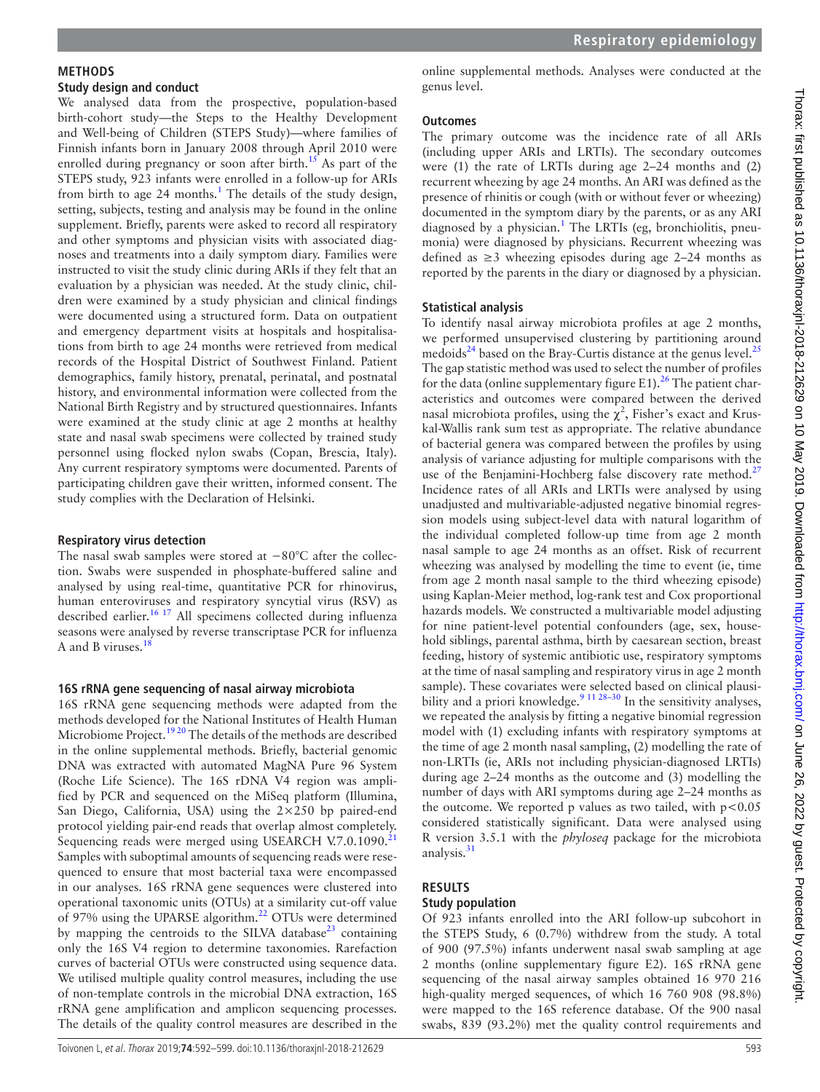# **Methods**

# **Study design and conduct**

We analysed data from the prospective, population-based birth-cohort study—the Steps to the Healthy Development and Well-being of Children (STEPS Study)—where families of Finnish infants born in January 2008 through April 2010 were enrolled during pregnancy or soon after birth.<sup>15</sup> As part of the STEPS study, 923 infants were enrolled in a follow-up for ARIs from birth to age 24 months.<sup>1</sup> The details of the study design, setting, subjects, testing and analysis may be found in the [online](https://dx.doi.org/10.1136/thoraxjnl-2018-212629)  [supplement](https://dx.doi.org/10.1136/thoraxjnl-2018-212629). Briefly, parents were asked to record all respiratory and other symptoms and physician visits with associated diagnoses and treatments into a daily symptom diary. Families were instructed to visit the study clinic during ARIs if they felt that an evaluation by a physician was needed. At the study clinic, children were examined by a study physician and clinical findings were documented using a structured form. Data on outpatient and emergency department visits at hospitals and hospitalisations from birth to age 24 months were retrieved from medical records of the Hospital District of Southwest Finland. Patient demographics, family history, prenatal, perinatal, and postnatal history, and environmental information were collected from the National Birth Registry and by structured questionnaires. Infants were examined at the study clinic at age 2 months at healthy state and nasal swab specimens were collected by trained study personnel using flocked nylon swabs (Copan, Brescia, Italy). Any current respiratory symptoms were documented. Parents of participating children gave their written, informed consent. The study complies with the Declaration of Helsinki.

# **Respiratory virus detection**

The nasal swab samples were stored at −80°C after the collection. Swabs were suspended in phosphate-buffered saline and analysed by using real-time, quantitative PCR for rhinovirus, human enteroviruses and respiratory syncytial virus (RSV) as described earlier.<sup>16 17</sup> All specimens collected during influenza seasons were analysed by reverse transcriptase PCR for influenza A and B viruses.<sup>[18](#page-6-9)</sup>

# **16S rRNA gene sequencing of nasal airway microbiota**

16S rRNA gene sequencing methods were adapted from the methods developed for the National Institutes of Health Human Microbiome Project.<sup>1920</sup> The details of the methods are described in the [online supplemental methods.](https://dx.doi.org/10.1136/thoraxjnl-2018-212629) Briefly, bacterial genomic DNA was extracted with automated MagNA Pure 96 System (Roche Life Science). The 16S rDNA V4 region was amplified by PCR and sequenced on the MiSeq platform (Illumina, San Diego, California, USA) using the 2×250 bp paired-end protocol yielding pair-end reads that overlap almost completely. Sequencing reads were merged using USEARCH V.7.0.1090.<sup>[21](#page-6-11)</sup> Samples with suboptimal amounts of sequencing reads were resequenced to ensure that most bacterial taxa were encompassed in our analyses. 16S rRNA gene sequences were clustered into operational taxonomic units (OTUs) at a similarity cut-off value of 97% using the UPARSE algorithm.<sup>[22](#page-6-12)</sup> OTUs were determined by mapping the centroids to the SILVA database $^{23}$  containing only the 16S V4 region to determine taxonomies. Rarefaction curves of bacterial OTUs were constructed using sequence data. We utilised multiple quality control measures, including the use of non-template controls in the microbial DNA extraction, 16S rRNA gene amplification and amplicon sequencing processes. The details of the quality control measures are described in the

[online supplemental methods](https://dx.doi.org/10.1136/thoraxjnl-2018-212629). Analyses were conducted at the genus level.

# **Outcomes**

The primary outcome was the incidence rate of all ARIs (including upper ARIs and LRTIs). The secondary outcomes were (1) the rate of LRTIs during age 2–24 months and (2) recurrent wheezing by age 24 months. An ARI was defined as the presence of rhinitis or cough (with or without fever or wheezing) documented in the symptom diary by the parents, or as any ARI diagnosed by a physician.<sup>1</sup> The LRTIs (eg, bronchiolitis, pneumonia) were diagnosed by physicians. Recurrent wheezing was defined as  $\geq 3$  wheezing episodes during age 2–24 months as reported by the parents in the diary or diagnosed by a physician.

# **Statistical analysis**

To identify nasal airway microbiota profiles at age 2 months, we performed unsupervised clustering by partitioning around medoids<sup>24</sup> based on the Bray-Curtis distance at the genus level.<sup>[25](#page-6-15)</sup> The gap statistic method was used to select the number of profiles for the data [\(online supplementary figure E1](https://dx.doi.org/10.1136/thoraxjnl-2018-212629)).<sup>26</sup> The patient characteristics and outcomes were compared between the derived nasal microbiota profiles, using the  $\chi^2$ , Fisher's exact and Kruskal-Wallis rank sum test as appropriate. The relative abundance of bacterial genera was compared between the profiles by using analysis of variance adjusting for multiple comparisons with the use of the Benjamini-Hochberg false discovery rate method.<sup>[27](#page-6-17)</sup> Incidence rates of all ARIs and LRTIs were analysed by using unadjusted and multivariable-adjusted negative binomial regression models using subject-level data with natural logarithm of the individual completed follow-up time from age 2 month nasal sample to age 24 months as an offset. Risk of recurrent wheezing was analysed by modelling the time to event (ie, time from age 2 month nasal sample to the third wheezing episode) using Kaplan-Meier method, log-rank test and Cox proportional hazards models. We constructed a multivariable model adjusting for nine patient-level potential confounders (age, sex, household siblings, parental asthma, birth by caesarean section, breast feeding, history of systemic antibiotic use, respiratory symptoms at the time of nasal sampling and respiratory virus in age 2 month sample). These covariates were selected based on clinical plausi-bility and a priori knowledge.<sup>[9 11 28–30](#page-6-18)</sup> In the sensitivity analyses, we repeated the analysis by fitting a negative binomial regression model with (1) excluding infants with respiratory symptoms at the time of age 2 month nasal sampling, (2) modelling the rate of non-LRTIs (ie, ARIs not including physician-diagnosed LRTIs) during age 2–24 months as the outcome and (3) modelling the number of days with ARI symptoms during age 2–24 months as the outcome. We reported p values as two tailed, with  $p < 0.05$ considered statistically significant. Data were analysed using R version 3.5.1 with the *phyloseq* package for the microbiota analysis. $31$ 

#### **Results Study population**

Of 923 infants enrolled into the ARI follow-up subcohort in the STEPS Study, 6 (0.7%) withdrew from the study. A total of 900 (97.5%) infants underwent nasal swab sampling at age 2 months [\(online supplementary figure E2](https://dx.doi.org/10.1136/thoraxjnl-2018-212629)). 16S rRNA gene sequencing of the nasal airway samples obtained 16 970 216 high-quality merged sequences, of which 16 760 908 (98.8%) were mapped to the 16S reference database. Of the 900 nasal swabs, 839 (93.2%) met the quality control requirements and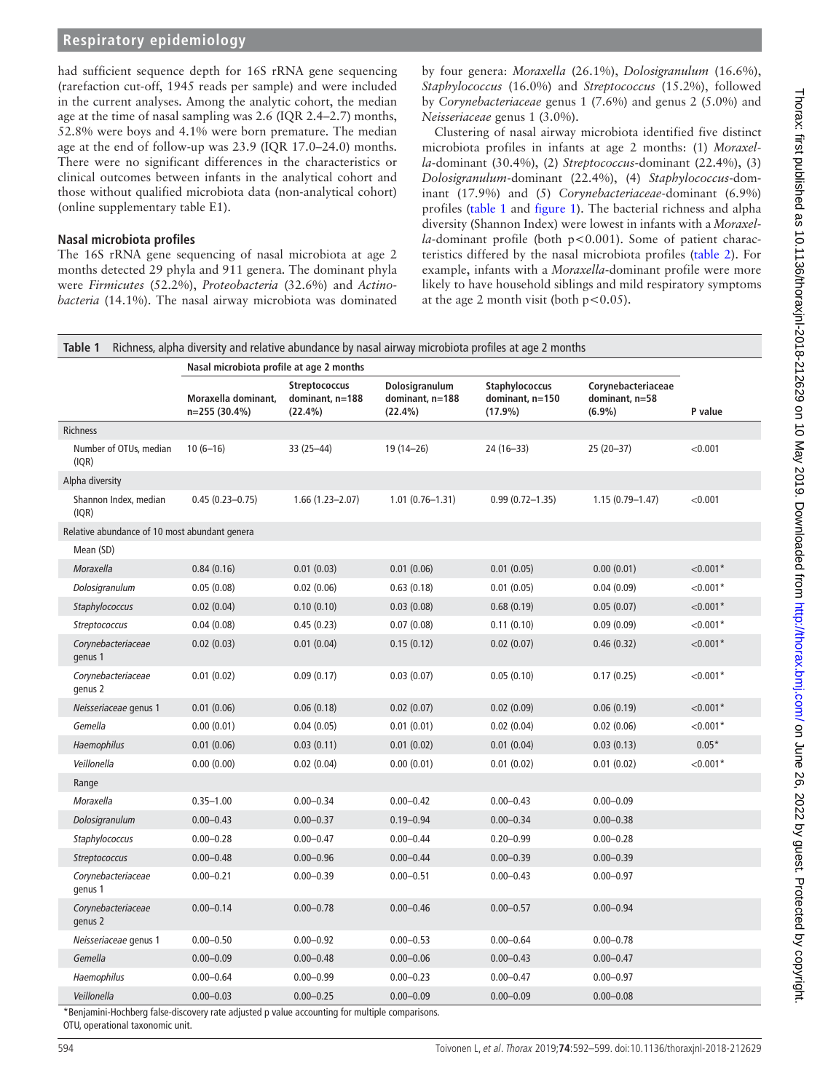had sufficient sequence depth for 16S rRNA gene sequencing (rarefaction cut-off, 1945 reads per sample) and were included in the current analyses. Among the analytic cohort, the median age at the time of nasal sampling was 2.6 (IQR 2.4–2.7) months, 52.8% were boys and 4.1% were born premature. The median age at the end of follow-up was 23.9 (IQR 17.0–24.0) months. There were no significant differences in the characteristics or clinical outcomes between infants in the analytical cohort and those without qualified microbiota data (non-analytical cohort) ([online supplementary table E1](https://dx.doi.org/10.1136/thoraxjnl-2018-212629)).

# **Nasal microbiota profiles**

The 16S rRNA gene sequencing of nasal microbiota at age 2 months detected 29 phyla and 911 genera. The dominant phyla were *Firmicutes* (52.2%), *Proteobacteria* (32.6%) and *Actinobacteria* (14.1%). The nasal airway microbiota was dominated

by four genera: *Moraxella* (26.1%), *Dolosigranulum* (16.6%), *Staphylococcus* (16.0%) and *Streptococcus* (15.2%), followed by *Corynebacteriaceae* genus 1 (7.6%) and genus 2 (5.0%) and *Neisseriaceae* genus 1 (3.0%).

Clustering of nasal airway microbiota identified five distinct microbiota profiles in infants at age 2 months: (1) *Moraxella*-dominant (30.4%), (2) *Streptococcus*-dominant (22.4%), (3) *Dolosigranulum*-dominant (22.4%), (4) *Staphylococcus*-dominant (17.9%) and (5) *Corynebacteriaceae*-dominant (6.9%) profiles ([table](#page-2-0) 1 and [figure](#page-3-0) 1). The bacterial richness and alpha diversity (Shannon Index) were lowest in infants with a *Moraxella*-dominant profile (both p<0.001). Some of patient characteristics differed by the nasal microbiota profiles [\(table](#page-4-0) 2). For example, infants with a *Moraxella*-dominant profile were more likely to have household siblings and mild respiratory symptoms at the age 2 month visit (both  $p < 0.05$ ).

<span id="page-2-0"></span>

| Table 1<br>Richness, alpha diversity and relative abundance by nasal airway microbiota profiles at age 2 months |                                          |                                                       |                                              |                                                 |                                                   |            |
|-----------------------------------------------------------------------------------------------------------------|------------------------------------------|-------------------------------------------------------|----------------------------------------------|-------------------------------------------------|---------------------------------------------------|------------|
|                                                                                                                 | Nasal microbiota profile at age 2 months |                                                       |                                              |                                                 |                                                   |            |
|                                                                                                                 | Moraxella dominant,<br>n=255 (30.4%)     | <b>Streptococcus</b><br>dominant, n=188<br>$(22.4\%)$ | Dolosigranulum<br>dominant, n=188<br>(22.4%) | Staphylococcus<br>dominant, n=150<br>$(17.9\%)$ | Corynebacteriaceae<br>dominant, n=58<br>$(6.9\%)$ | P value    |
| Richness                                                                                                        |                                          |                                                       |                                              |                                                 |                                                   |            |
| Number of OTUs, median<br>(IQR)                                                                                 | $10(6-16)$                               | 33 (25 - 44)                                          | 19 (14-26)                                   | 24 (16-33)                                      | 25 (20-37)                                        | < 0.001    |
| Alpha diversity                                                                                                 |                                          |                                                       |                                              |                                                 |                                                   |            |
| Shannon Index, median<br>(IOR)                                                                                  | $0.45(0.23 - 0.75)$                      | $1.66(1.23 - 2.07)$                                   | $1.01(0.76 - 1.31)$                          | $0.99(0.72 - 1.35)$                             | $1.15(0.79 - 1.47)$                               | < 0.001    |
| Relative abundance of 10 most abundant genera                                                                   |                                          |                                                       |                                              |                                                 |                                                   |            |
| Mean (SD)                                                                                                       |                                          |                                                       |                                              |                                                 |                                                   |            |
| Moraxella                                                                                                       | 0.84(0.16)                               | 0.01(0.03)                                            | 0.01(0.06)                                   | 0.01(0.05)                                      | 0.00(0.01)                                        | $< 0.001*$ |
| Dolosigranulum                                                                                                  | 0.05(0.08)                               | 0.02(0.06)                                            | 0.63(0.18)                                   | 0.01(0.05)                                      | 0.04(0.09)                                        | $< 0.001*$ |
| Staphylococcus                                                                                                  | 0.02(0.04)                               | 0.10(0.10)                                            | 0.03(0.08)                                   | 0.68(0.19)                                      | 0.05(0.07)                                        | $< 0.001*$ |
| Streptococcus                                                                                                   | 0.04(0.08)                               | 0.45(0.23)                                            | 0.07(0.08)                                   | 0.11(0.10)                                      | 0.09(0.09)                                        | $< 0.001*$ |
| Corynebacteriaceae<br>genus 1                                                                                   | 0.02(0.03)                               | 0.01(0.04)                                            | 0.15(0.12)                                   | 0.02(0.07)                                      | 0.46(0.32)                                        | $< 0.001*$ |
| Corynebacteriaceae<br>genus 2                                                                                   | 0.01(0.02)                               | 0.09(0.17)                                            | 0.03(0.07)                                   | 0.05(0.10)                                      | 0.17(0.25)                                        | $< 0.001*$ |
| Neisseriaceae genus 1                                                                                           | 0.01(0.06)                               | 0.06(0.18)                                            | 0.02(0.07)                                   | 0.02(0.09)                                      | 0.06(0.19)                                        | $< 0.001*$ |
| Gemella                                                                                                         | 0.00(0.01)                               | 0.04(0.05)                                            | 0.01(0.01)                                   | 0.02(0.04)                                      | 0.02(0.06)                                        | $< 0.001*$ |
| Haemophilus                                                                                                     | 0.01(0.06)                               | 0.03(0.11)                                            | 0.01(0.02)                                   | 0.01(0.04)                                      | 0.03(0.13)                                        | $0.05*$    |
| Veillonella                                                                                                     | 0.00(0.00)                               | 0.02(0.04)                                            | 0.00(0.01)                                   | 0.01(0.02)                                      | 0.01(0.02)                                        | $< 0.001*$ |
| Range                                                                                                           |                                          |                                                       |                                              |                                                 |                                                   |            |
| Moraxella                                                                                                       | $0.35 - 1.00$                            | $0.00 - 0.34$                                         | $0.00 - 0.42$                                | $0.00 - 0.43$                                   | $0.00 - 0.09$                                     |            |
| Dolosigranulum                                                                                                  | $0.00 - 0.43$                            | $0.00 - 0.37$                                         | $0.19 - 0.94$                                | $0.00 - 0.34$                                   | $0.00 - 0.38$                                     |            |
| Staphylococcus                                                                                                  | $0.00 - 0.28$                            | $0.00 - 0.47$                                         | $0.00 - 0.44$                                | $0.20 - 0.99$                                   | $0.00 - 0.28$                                     |            |
| Streptococcus                                                                                                   | $0.00 - 0.48$                            | $0.00 - 0.96$                                         | $0.00 - 0.44$                                | $0.00 - 0.39$                                   | $0.00 - 0.39$                                     |            |
| Corynebacteriaceae<br>genus 1                                                                                   | $0.00 - 0.21$                            | $0.00 - 0.39$                                         | $0.00 - 0.51$                                | $0.00 - 0.43$                                   | $0.00 - 0.97$                                     |            |
| Corynebacteriaceae<br>genus 2                                                                                   | $0.00 - 0.14$                            | $0.00 - 0.78$                                         | $0.00 - 0.46$                                | $0.00 - 0.57$                                   | $0.00 - 0.94$                                     |            |
| Neisseriaceae genus 1                                                                                           | $0.00 - 0.50$                            | $0.00 - 0.92$                                         | $0.00 - 0.53$                                | $0.00 - 0.64$                                   | $0.00 - 0.78$                                     |            |
| Gemella                                                                                                         | $0.00 - 0.09$                            | $0.00 - 0.48$                                         | $0.00 - 0.06$                                | $0.00 - 0.43$                                   | $0.00 - 0.47$                                     |            |
| Haemophilus                                                                                                     | $0.00 - 0.64$                            | $0.00 - 0.99$                                         | $0.00 - 0.23$                                | $0.00 - 0.47$                                   | $0.00 - 0.97$                                     |            |
| Veillonella                                                                                                     | $0.00 - 0.03$                            | $0.00 - 0.25$                                         | $0.00 - 0.09$                                | $0.00 - 0.09$                                   | $0.00 - 0.08$                                     |            |
| Beniamini-Hochberg false-discovery rate adiusted p value accounting for multiple comparisons.                   |                                          |                                                       |                                              |                                                 |                                                   |            |

\*Benjamini-Hochberg false-discovery rate adjusted p value accounting for multiple comparisons. OTU, operational taxonomic unit.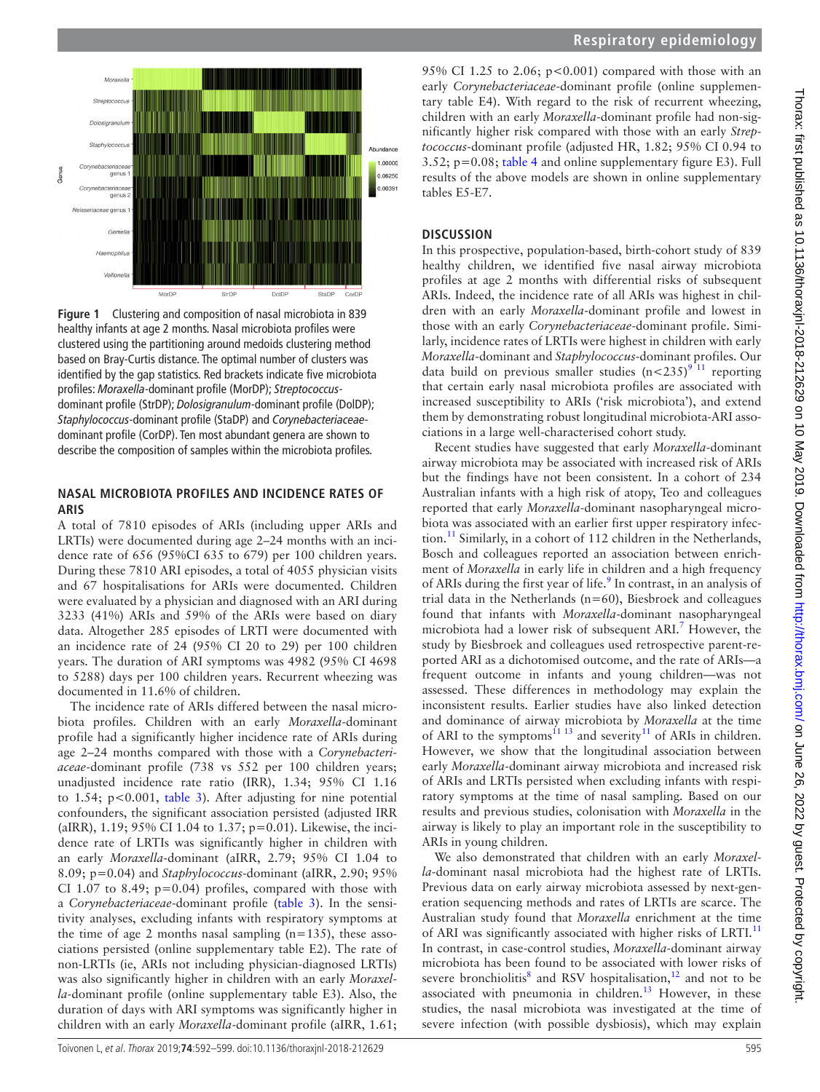

<span id="page-3-0"></span>**Figure 1** Clustering and composition of nasal microbiota in 839 healthy infants at age 2 months. Nasal microbiota profiles were clustered using the partitioning around medoids clustering method based on Bray-Curtis distance. The optimal number of clusters was identified by the gap statistics. Red brackets indicate five microbiota profiles: *Moraxella*-dominant profile (MorDP); *Streptococcus*dominant profile (StrDP); *Dolosigranulum*-dominant profile (DolDP); *Staphylococcus*-dominant profile (StaDP) and *Corynebacteriaceae*dominant profile (CorDP). Ten most abundant genera are shown to describe the composition of samples within the microbiota profiles.

#### **Nasal microbiota profiles and incidence rates of ARIs**

A total of 7810 episodes of ARIs (including upper ARIs and LRTIs) were documented during age 2–24 months with an incidence rate of 656 (95%CI 635 to 679) per 100 children years. During these 7810 ARI episodes, a total of 4055 physician visits and 67 hospitalisations for ARIs were documented. Children were evaluated by a physician and diagnosed with an ARI during 3233 (41%) ARIs and 59% of the ARIs were based on diary data. Altogether 285 episodes of LRTI were documented with an incidence rate of 24 (95% CI 20 to 29) per 100 children years. The duration of ARI symptoms was 4982 (95% CI 4698 to 5288) days per 100 children years. Recurrent wheezing was documented in 11.6% of children.

The incidence rate of ARIs differed between the nasal microbiota profiles. Children with an early *Moraxella*-dominant profile had a significantly higher incidence rate of ARIs during age 2–24 months compared with those with a *Corynebacteriaceae*-dominant profile (738 vs 552 per 100 children years; unadjusted incidence rate ratio (IRR), 1.34; 95% CI 1.16 to 1.54; p<0.001, [table](#page-5-0) 3). After adjusting for nine potential confounders, the significant association persisted (adjusted IRR (aIRR), 1.19; 95% CI 1.04 to 1.37; p=0.01). Likewise, the incidence rate of LRTIs was significantly higher in children with an early *Moraxella*-dominant (aIRR, 2.79; 95% CI 1.04 to 8.09; p=0.04) and *Staphylococcus*-dominant (aIRR, 2.90; 95% CI 1.07 to 8.49;  $p=0.04$ ) profiles, compared with those with a *Corynebacteriaceae*-dominant profile ([table](#page-5-0) 3). In the sensitivity analyses, excluding infants with respiratory symptoms at the time of age 2 months nasal sampling  $(n=135)$ , these associations persisted [\(online supplementary table E2](https://dx.doi.org/10.1136/thoraxjnl-2018-212629)). The rate of non-LRTIs (ie, ARIs not including physician-diagnosed LRTIs) was also significantly higher in children with an early *Moraxella*-dominant profile ([online supplementary table E3\)](https://dx.doi.org/10.1136/thoraxjnl-2018-212629). Also, the duration of days with ARI symptoms was significantly higher in children with an early *Moraxella*-dominant profile (aIRR, 1.61;

# **Respiratory epidemiology**

95% CI 1.25 to 2.06;  $p<0.001$ ) compared with those with an early *Corynebacteriaceae*-dominant profile ([online supplemen](https://dx.doi.org/10.1136/thoraxjnl-2018-212629)[tary table E4](https://dx.doi.org/10.1136/thoraxjnl-2018-212629)). With regard to the risk of recurrent wheezing, children with an early *Moraxella*-dominant profile had non-significantly higher risk compared with those with an early *Streptococcus*-dominant profile (adjusted HR, 1.82; 95% CI 0.94 to 3.52; p=0.08; [table](#page-5-1) 4 and [online supplementary figure E3\)](https://dx.doi.org/10.1136/thoraxjnl-2018-212629). Full results of the above models are shown in [online supplementary](https://dx.doi.org/10.1136/thoraxjnl-2018-212629) [tables E5-E7](https://dx.doi.org/10.1136/thoraxjnl-2018-212629).

## **Discussion**

In this prospective, population-based, birth-cohort study of 839 healthy children, we identified five nasal airway microbiota profiles at age 2 months with differential risks of subsequent ARIs. Indeed, the incidence rate of all ARIs was highest in children with an early *Moraxella*-dominant profile and lowest in those with an early *Corynebacteriaceae*-dominant profile. Similarly, incidence rates of LRTIs were highest in children with early *Moraxella*-dominant and *Staphylococcus*-dominant profiles. Our data build on previous smaller studies  $(n<235)^{9}$  11 reporting that certain early nasal microbiota profiles are associated with increased susceptibility to ARIs ('risk microbiota'), and extend them by demonstrating robust longitudinal microbiota-ARI associations in a large well-characterised cohort study.

Recent studies have suggested that early *Moraxella*-dominant airway microbiota may be associated with increased risk of ARIs but the findings have not been consistent. In a cohort of 234 Australian infants with a high risk of atopy, Teo and colleagues reported that early *Moraxella*-dominant nasopharyngeal microbiota was associated with an earlier first upper respiratory infec-tion.<sup>[11](#page-6-5)</sup> Similarly, in a cohort of 112 children in the Netherlands, Bosch and colleagues reported an association between enrichment of *Moraxella* in early life in children and a high frequency of ARIs during the first year of life.<sup>[9](#page-6-18)</sup> In contrast, in an analysis of trial data in the Netherlands (n=60), Biesbroek and colleagues found that infants with *Moraxella*-dominant nasopharyngeal microbiota had a lower risk of subsequent ARI.<sup>[7](#page-6-3)</sup> However, the study by Biesbroek and colleagues used retrospective parent-reported ARI as a dichotomised outcome, and the rate of ARIs—a frequent outcome in infants and young children—was not assessed. These differences in methodology may explain the inconsistent results. Earlier studies have also linked detection and dominance of airway microbiota by *Moraxella* at the time of ARI to the symptoms<sup>[11 13](#page-6-5)</sup> and severity<sup>11</sup> of ARIs in children. However, we show that the longitudinal association between early *Moraxella*-dominant airway microbiota and increased risk of ARIs and LRTIs persisted when excluding infants with respiratory symptoms at the time of nasal sampling. Based on our results and previous studies, colonisation with *Moraxella* in the airway is likely to play an important role in the susceptibility to ARIs in young children.

We also demonstrated that children with an early *Moraxella*-dominant nasal microbiota had the highest rate of LRTIs. Previous data on early airway microbiota assessed by next-generation sequencing methods and rates of LRTIs are scarce. The Australian study found that *Moraxella* enrichment at the time of ARI was significantly associated with higher risks of LRTI.<sup>[11](#page-6-5)</sup> In contrast, in case-control studies, *Moraxella*-dominant airway microbiota has been found to be associated with lower risks of severe bronchiolitis<sup>[8](#page-6-6)</sup> and RSV hospitalisation,<sup>12</sup> and not to be associated with pneumonia in children.<sup>13</sup> However, in these studies, the nasal microbiota was investigated at the time of severe infection (with possible dysbiosis), which may explain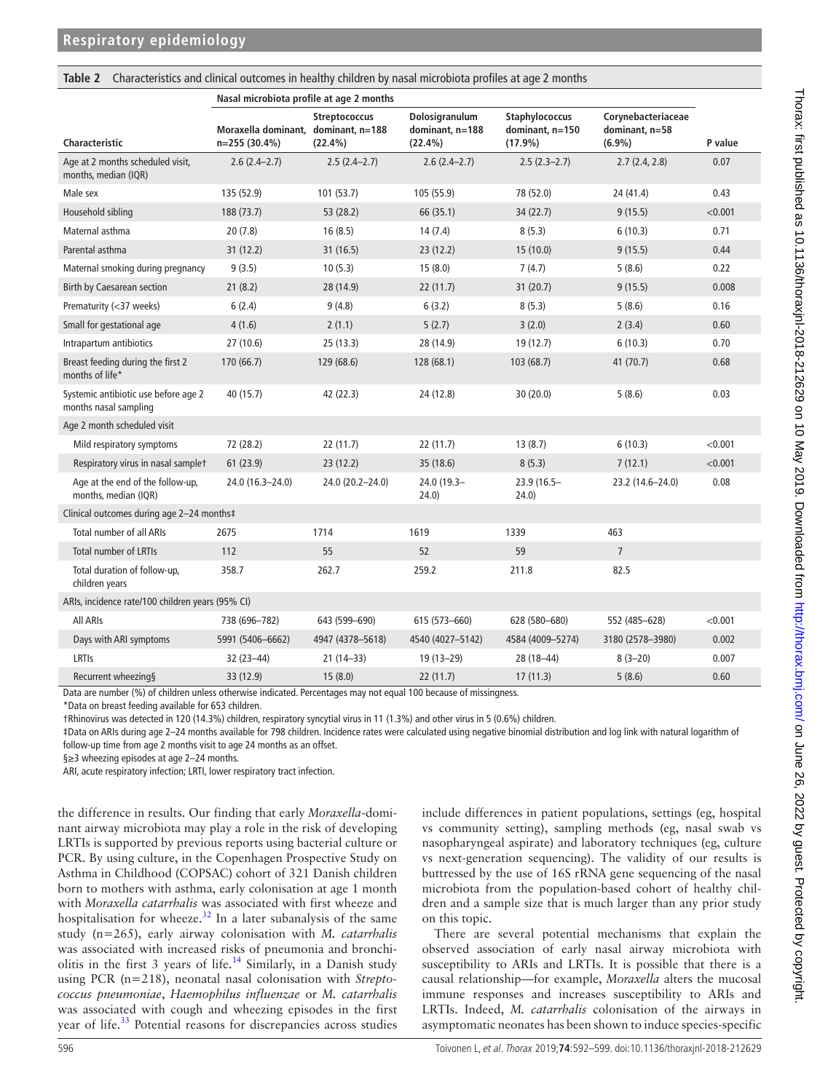## <span id="page-4-0"></span>**Table 2** Characteristics and clinical outcomes in healthy children by nasal microbiota profiles at age 2 months

|                                                               | Nasal microbiota profile at age 2 months              |                                    |                                                 |                                                        |                                                   |         |
|---------------------------------------------------------------|-------------------------------------------------------|------------------------------------|-------------------------------------------------|--------------------------------------------------------|---------------------------------------------------|---------|
| Characteristic                                                | Moraxella dominant, dominant, n=188<br>$n=255(30.4%)$ | <b>Streptococcus</b><br>$(22.4\%)$ | Dolosigranulum<br>dominant, n=188<br>$(22.4\%)$ | <b>Staphylococcus</b><br>dominant, n=150<br>$(17.9\%)$ | Corynebacteriaceae<br>dominant, n=58<br>$(6.9\%)$ | P value |
| Age at 2 months scheduled visit,<br>months, median (IQR)      | $2.6(2.4-2.7)$                                        | $2.5(2.4-2.7)$                     | $2.6(2.4-2.7)$                                  | $2.5(2.3-2.7)$                                         | 2.7(2.4, 2.8)                                     | 0.07    |
| Male sex                                                      | 135 (52.9)                                            | 101(53.7)                          | 105 (55.9)                                      | 78 (52.0)                                              | 24 (41.4)                                         | 0.43    |
| Household sibling                                             | 188 (73.7)                                            | 53 (28.2)                          | 66 (35.1)                                       | 34(22.7)                                               | 9(15.5)                                           | < 0.001 |
| Maternal asthma                                               | 20(7.8)                                               | 16(8.5)                            | 14(7.4)                                         | 8(5.3)                                                 | 6(10.3)                                           | 0.71    |
| Parental asthma                                               | 31 (12.2)                                             | 31(16.5)                           | 23(12.2)                                        | 15(10.0)                                               | 9(15.5)                                           | 0.44    |
| Maternal smoking during pregnancy                             | 9(3.5)                                                | 10(5.3)                            | 15(8.0)                                         | 7(4.7)                                                 | 5(8.6)                                            | 0.22    |
| Birth by Caesarean section                                    | 21(8.2)                                               | 28 (14.9)                          | 22(11.7)                                        | 31(20.7)                                               | 9(15.5)                                           | 0.008   |
| Prematurity (<37 weeks)                                       | 6(2.4)                                                | 9(4.8)                             | 6(3.2)                                          | 8(5.3)                                                 | 5(8.6)                                            | 0.16    |
| Small for gestational age                                     | 4(1.6)                                                | 2(1.1)                             | 5(2.7)                                          | 3(2.0)                                                 | 2(3.4)                                            | 0.60    |
| Intrapartum antibiotics                                       | 27 (10.6)                                             | 25(13.3)                           | 28 (14.9)                                       | 19 (12.7)                                              | 6(10.3)                                           | 0.70    |
| Breast feeding during the first 2<br>months of life*          | 170 (66.7)                                            | 129 (68.6)                         | 128 (68.1)                                      | 103 (68.7)                                             | 41 (70.7)                                         | 0.68    |
| Systemic antibiotic use before age 2<br>months nasal sampling | 40 (15.7)                                             | 42 (22.3)                          | 24 (12.8)                                       | 30(20.0)                                               | 5(8.6)                                            | 0.03    |
| Age 2 month scheduled visit                                   |                                                       |                                    |                                                 |                                                        |                                                   |         |
| Mild respiratory symptoms                                     | 72 (28.2)                                             | 22(11.7)                           | 22(11.7)                                        | 13(8.7)                                                | 6(10.3)                                           | < 0.001 |
| Respiratory virus in nasal samplet                            | 61(23.9)                                              | 23(12.2)                           | 35 (18.6)                                       | 8(5.3)                                                 | 7(12.1)                                           | < 0.001 |
| Age at the end of the follow-up,<br>months, median (IQR)      | 24.0 (16.3-24.0)                                      | 24.0 (20.2-24.0)                   | 24.0 (19.3-<br>24.0)                            | 23.9 (16.5-<br>24.0)                                   | 23.2 (14.6-24.0)                                  | 0.08    |
| Clinical outcomes during age 2-24 months‡                     |                                                       |                                    |                                                 |                                                        |                                                   |         |
| <b>Total number of all ARIs</b>                               | 2675                                                  | 1714                               | 1619                                            | 1339                                                   | 463                                               |         |
| <b>Total number of LRTIs</b>                                  | 112                                                   | 55                                 | 52                                              | 59                                                     | $\overline{7}$                                    |         |
| Total duration of follow-up,<br>children years                | 358.7                                                 | 262.7                              | 259.2                                           | 211.8                                                  | 82.5                                              |         |
| ARIs, incidence rate/100 children years (95% CI)              |                                                       |                                    |                                                 |                                                        |                                                   |         |
| All ARIS                                                      | 738 (696-782)                                         | 643 (599-690)                      | 615 (573-660)                                   | 628 (580-680)                                          | 552 (485-628)                                     | < 0.001 |
| Days with ARI symptoms                                        | 5991 (5406-6662)                                      | 4947 (4378-5618)                   | 4540 (4027-5142)                                | 4584 (4009-5274)                                       | 3180 (2578-3980)                                  | 0.002   |
| LRTIS                                                         | 32 (23-44)                                            | $21(14-33)$                        | 19 (13-29)                                      | 28 (18-44)                                             | $8(3-20)$                                         | 0.007   |
| Recurrent wheezing§                                           | 33 (12.9)                                             | 15(8.0)                            | 22(11.7)                                        | 17(11.3)                                               | 5(8.6)                                            | 0.60    |

Data are number (%) of children unless otherwise indicated. Percentages may not equal 100 because of missingness.

\*Data on breast feeding available for 653 children.

†Rhinovirus was detected in 120 (14.3%) children, respiratory syncytial virus in 11 (1.3%) and other virus in 5 (0.6%) children.

‡Data on ARIs during age 2–24 months available for 798 children. Incidence rates were calculated using negative binomial distribution and log link with natural logarithm of follow-up time from age 2 months visit to age 24 months as an offset.

§≥3 wheezing episodes at age 2-24 months.

ARI, acute respiratory infection; LRTI, lower respiratory tract infection.

the difference in results. Our finding that early *Moraxella*-dominant airway microbiota may play a role in the risk of developing LRTIs is supported by previous reports using bacterial culture or PCR. By using culture, in the Copenhagen Prospective Study on Asthma in Childhood (COPSAC) cohort of 321 Danish children born to mothers with asthma, early colonisation at age 1 month with *Moraxella catarrhalis* was associated with first wheeze and hospitalisation for wheeze. $32$  In a later subanalysis of the same study (n=265), early airway colonisation with *M. catarrhalis* was associated with increased risks of pneumonia and bronchi-olitis in the first 3 years of life.<sup>[14](#page-6-21)</sup> Similarly, in a Danish study using PCR (n=218), neonatal nasal colonisation with *Streptococcus pneumoniae*, *Haemophilus influenzae* or *M. catarrhalis* was associated with cough and wheezing episodes in the first year of life.<sup>[33](#page-7-2)</sup> Potential reasons for discrepancies across studies

include differences in patient populations, settings (eg, hospital vs community setting), sampling methods (eg, nasal swab vs nasopharyngeal aspirate) and laboratory techniques (eg, culture vs next-generation sequencing). The validity of our results is buttressed by the use of 16S rRNA gene sequencing of the nasal microbiota from the population-based cohort of healthy children and a sample size that is much larger than any prior study on this topic.

There are several potential mechanisms that explain the observed association of early nasal airway microbiota with susceptibility to ARIs and LRTIs. It is possible that there is a causal relationship—for example, *Moraxella* alters the mucosal immune responses and increases susceptibility to ARIs and LRTIs. Indeed, *M. catarrhalis* colonisation of the airways in asymptomatic neonates has been shown to induce species-specific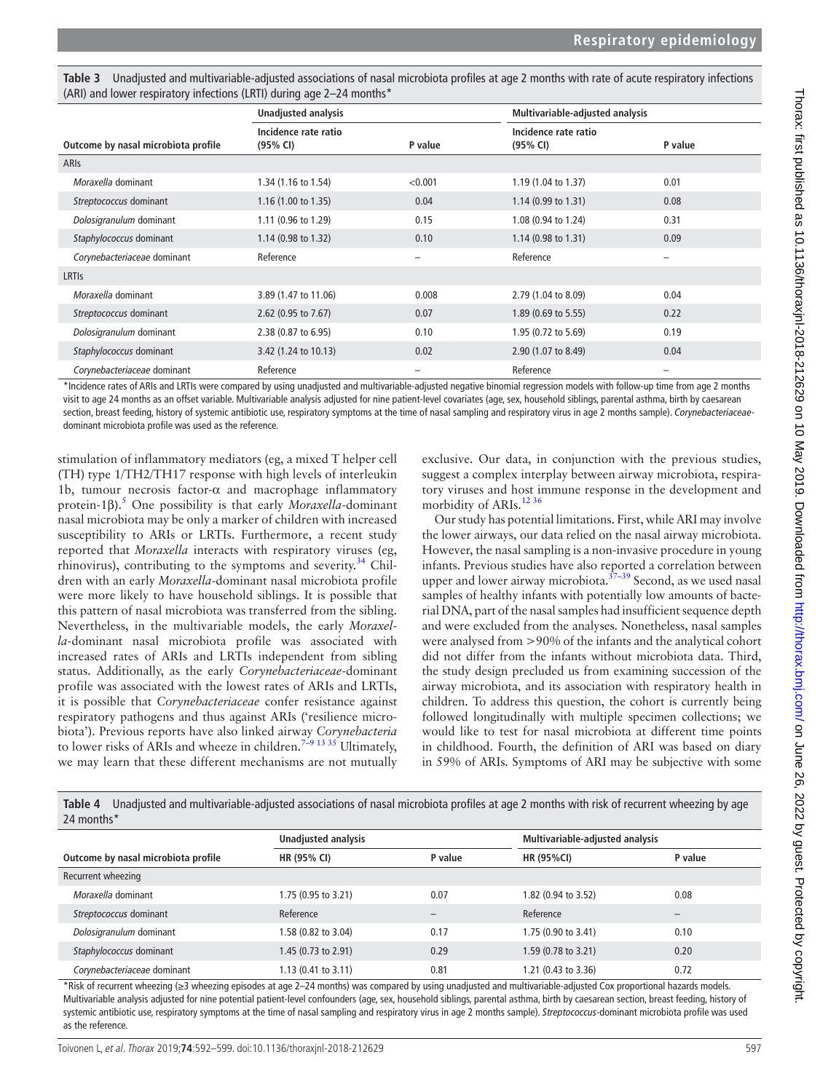<span id="page-5-0"></span>

| Table 3 Unadjusted and multivariable-adjusted associations of nasal microbiota profiles at age 2 months with rate of acute respiratory infections |
|---------------------------------------------------------------------------------------------------------------------------------------------------|
| (ARI) and lower respiratory infections (LRTI) during age 2-24 months*                                                                             |

|                                     | <b>Unadjusted analysis</b>       |                   | Multivariable-adjusted analysis  |                          |
|-------------------------------------|----------------------------------|-------------------|----------------------------------|--------------------------|
| Outcome by nasal microbiota profile | Incidence rate ratio<br>(95% CI) | P value           | Incidence rate ratio<br>(95% CI) | P value                  |
| <b>ARIS</b>                         |                                  |                   |                                  |                          |
| Moraxella dominant                  | 1.34 (1.16 to 1.54)              | < 0.001           | 1.19 (1.04 to 1.37)              | 0.01                     |
| Streptococcus dominant              | 1.16 (1.00 to 1.35)              | 0.04              | $1.14(0.99 \text{ to } 1.31)$    | 0.08                     |
| Dolosigranulum dominant             | 1.11 (0.96 to 1.29)              | 0.15              | 1.08 (0.94 to 1.24)              | 0.31                     |
| Staphylococcus dominant             | 1.14 (0.98 to 1.32)              | 0.10              | $1.14(0.98 \text{ to } 1.31)$    | 0.09                     |
| Corynebacteriaceae dominant         | Reference                        | $\qquad \qquad -$ | Reference                        | $\overline{\phantom{0}}$ |
| <b>LRTIS</b>                        |                                  |                   |                                  |                          |
| Moraxella dominant                  | 3.89 (1.47 to 11.06)             | 0.008             | 2.79 (1.04 to 8.09)              | 0.04                     |
| Streptococcus dominant              | 2.62 $(0.95$ to 7.67)            | 0.07              | 1.89 (0.69 to 5.55)              | 0.22                     |
| Dolosigranulum dominant             | 2.38 (0.87 to 6.95)              | 0.10              | 1.95 (0.72 to 5.69)              | 0.19                     |
| Staphylococcus dominant             | 3.42 (1.24 to 10.13)             | 0.02              | 2.90 (1.07 to 8.49)              | 0.04                     |
| Corynebacteriaceae dominant         | Reference                        | $\qquad \qquad -$ | Reference                        | —                        |

\*Incidence rates of ARIs and LRTIs were compared by using unadjusted and multivariable-adjusted negative binomial regression models with follow-up time from age 2 months visit to age 24 months as an offset variable. Multivariable analysis adjusted for nine patient-level covariates (age, sex, household siblings, parental asthma, birth by caesarean section, breast feeding, history of systemic antibiotic use, respiratory symptoms at the time of nasal sampling and respiratory virus in age 2 months sample). *Corynebacteriaceae*dominant microbiota profile was used as the reference.

stimulation of inflammatory mediators (eg, a mixed T helper cell (TH) type 1/TH2/TH17 response with high levels of interleukin 1b, tumour necrosis factor- $\alpha$  and macrophage inflammatory protein-1β).[5](#page-6-2) One possibility is that early *Moraxella*-dominant nasal microbiota may be only a marker of children with increased susceptibility to ARIs or LRTIs. Furthermore, a recent study reported that *Moraxella* interacts with respiratory viruses (eg, rhinovirus), contributing to the symptoms and severity. $34$  Children with an early *Moraxella*-dominant nasal microbiota profile were more likely to have household siblings. It is possible that this pattern of nasal microbiota was transferred from the sibling. Nevertheless, in the multivariable models, the early *Moraxella*-dominant nasal microbiota profile was associated with increased rates of ARIs and LRTIs independent from sibling status. Additionally, as the early *Corynebacteriaceae*-dominant profile was associated with the lowest rates of ARIs and LRTIs, it is possible that *Corynebacteriaceae* confer resistance against respiratory pathogens and thus against ARIs ('resilience microbiota'). Previous reports have also linked airway *Corynebacteria* to lower risks of ARIs and wheeze in children.<sup>7-9</sup> <sup>13 35</sup> Ultimately, we may learn that these different mechanisms are not mutually

exclusive. Our data, in conjunction with the previous studies, suggest a complex interplay between airway microbiota, respiratory viruses and host immune response in the development and morbidity of ARIs.<sup>1236</sup>

Our study has potential limitations. First, while ARI may involve the lower airways, our data relied on the nasal airway microbiota. However, the nasal sampling is a non-invasive procedure in young infants. Previous studies have also reported a correlation between upper and lower airway microbiota.<sup>37-39</sup> Second, as we used nasal samples of healthy infants with potentially low amounts of bacterial DNA, part of the nasal samples had insufficient sequence depth and were excluded from the analyses. Nonetheless, nasal samples were analysed from >90% of the infants and the analytical cohort did not differ from the infants without microbiota data. Third, the study design precluded us from examining succession of the airway microbiota, and its association with respiratory health in children. To address this question, the cohort is currently being followed longitudinally with multiple specimen collections; we would like to test for nasal microbiota at different time points in childhood. Fourth, the definition of ARI was based on diary in 59% of ARIs. Symptoms of ARI may be subjective with some

<span id="page-5-1"></span>

|            | Table 4 Unadjusted and multivariable-adjusted associations of nasal microbiota profiles at age 2 months with risk of recurrent wheezing by age |
|------------|------------------------------------------------------------------------------------------------------------------------------------------------|
| 24 months* |                                                                                                                                                |

|                                     | Unadjusted analysis |         | Multivariable-adjusted analysis |         |
|-------------------------------------|---------------------|---------|---------------------------------|---------|
| Outcome by nasal microbiota profile | HR (95% CI)         | P value | <b>HR (95%CI)</b>               | P value |
| Recurrent wheezing                  |                     |         |                                 |         |
| Moraxella dominant                  | 1.75 (0.95 to 3.21) | 0.07    | 1.82 (0.94 to 3.52)             | 0.08    |
| Streptococcus dominant              | Reference           |         | Reference                       |         |
| Dolosigranulum dominant             | 1.58 (0.82 to 3.04) | 0.17    | 1.75 (0.90 to 3.41)             | 0.10    |
| Staphylococcus dominant             | 1.45 (0.73 to 2.91) | 0.29    | 1.59 (0.78 to 3.21)             | 0.20    |
| Corynebacteriaceae dominant         | 1.13 (0.41 to 3.11) | 0.81    | 1.21 (0.43 to 3.36)             | 0.72    |

\*Risk of recurrent wheezing (≥3 wheezing episodes at age 2–24 months) was compared by using unadjusted and multivariable-adjusted Cox proportional hazards models. Multivariable analysis adjusted for nine potential patient-level confounders (age, sex, household siblings, parental asthma, birth by caesarean section, breast feeding, history of systemic antibiotic use, respiratory symptoms at the time of nasal sampling and respiratory virus in age 2 months sample). *Streptococcus*-dominant microbiota profile was used as the reference.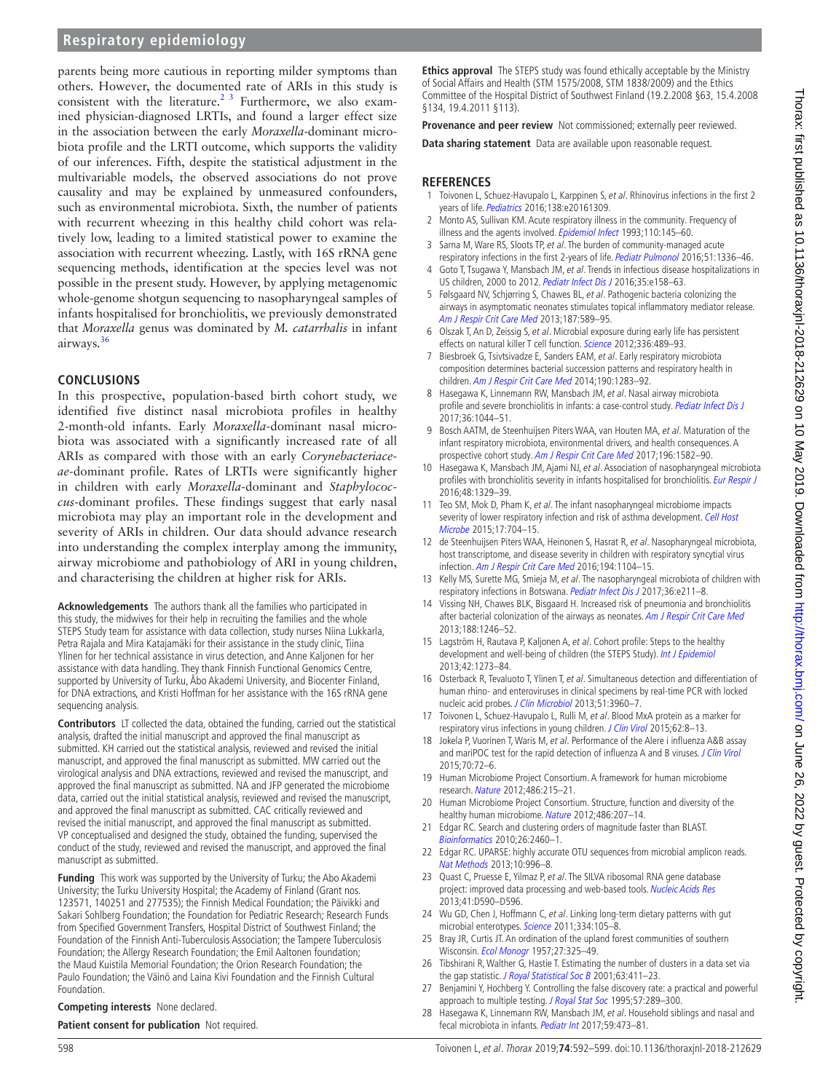# **Respiratory epidemiology**

parents being more cautious in reporting milder symptoms than others. However, the documented rate of ARIs in this study is consistent with the literature.<sup>23</sup> Furthermore, we also examined physician-diagnosed LRTIs, and found a larger effect size in the association between the early *Moraxella-*dominant microbiota profile and the LRTI outcome, which supports the validity of our inferences. Fifth, despite the statistical adjustment in the multivariable models, the observed associations do not prove causality and may be explained by unmeasured confounders, such as environmental microbiota. Sixth, the number of patients with recurrent wheezing in this healthy child cohort was relatively low, leading to a limited statistical power to examine the association with recurrent wheezing. Lastly, with 16S rRNA gene sequencing methods, identification at the species level was not possible in the present study. However, by applying metagenomic whole-genome shotgun sequencing to nasopharyngeal samples of infants hospitalised for bronchiolitis, we previously demonstrated that *Moraxella* genus was dominated by *M. catarrhalis* in infant airways. $36$ 

#### **Conclusions**

In this prospective, population-based birth cohort study, we identified five distinct nasal microbiota profiles in healthy 2-month-old infants. Early *Moraxella*-dominant nasal microbiota was associated with a significantly increased rate of all ARIs as compared with those with an early *Corynebacteriaceae*-dominant profile. Rates of LRTIs were significantly higher in children with early *Moraxella*-dominant and *Staphylococcus*-dominant profiles. These findings suggest that early nasal microbiota may play an important role in the development and severity of ARIs in children. Our data should advance research into understanding the complex interplay among the immunity, airway microbiome and pathobiology of ARI in young children, and characterising the children at higher risk for ARIs.

**Acknowledgements** The authors thank all the families who participated in this study, the midwives for their help in recruiting the families and the whole STEPS Study team for assistance with data collection, study nurses Niina Lukkarla, Petra Rajala and Mira Katajamäki for their assistance in the study clinic, Tiina Ylinen for her technical assistance in virus detection, and Anne Kaljonen for her assistance with data handling. They thank Finnish Functional Genomics Centre, supported by University of Turku, Åbo Akademi University, and Biocenter Finland, for DNA extractions, and Kristi Hoffman for her assistance with the 16S rRNA gene sequencing analysis.

**Contributors** LT collected the data, obtained the funding, carried out the statistical analysis, drafted the initial manuscript and approved the final manuscript as submitted. KH carried out the statistical analysis, reviewed and revised the initial manuscript, and approved the final manuscript as submitted. MW carried out the virological analysis and DNA extractions, reviewed and revised the manuscript, and approved the final manuscript as submitted. NA and JFP generated the microbiome data, carried out the initial statistical analysis, reviewed and revised the manuscript, and approved the final manuscript as submitted. CAC critically reviewed and revised the initial manuscript, and approved the final manuscript as submitted. VP conceptualised and designed the study, obtained the funding, supervised the conduct of the study, reviewed and revised the manuscript, and approved the final manuscript as submitted.

**Funding** This work was supported by the University of Turku; the Abo Akademi University; the Turku University Hospital; the Academy of Finland (Grant nos. 123571, 140251 and 277535); the Finnish Medical Foundation; the Päivikki and Sakari Sohlberg Foundation; the Foundation for Pediatric Research; Research Funds from Specified Government Transfers, Hospital District of Southwest Finland; the Foundation of the Finnish Anti-Tuberculosis Association; the Tampere Tuberculosis Foundation; the Allergy Research Foundation; the Emil Aaltonen foundation; the Maud Kuistila Memorial Foundation; the Orion Research Foundation; the Paulo Foundation; the Väinö and Laina Kivi Foundation and the Finnish Cultural Foundation.

#### **Competing interests** None declared.

**Patient consent for publication** Not required.

**Ethics approval** The STEPS study was found ethically acceptable by the Ministry of Social Affairs and Health (STM 1575/2008, STM 1838/2009) and the Ethics Committee of the Hospital District of Southwest Finland (19.2.2008 §63, 15.4.2008 §134, 19.4.2011 §113).

**Provenance and peer review** Not commissioned; externally peer reviewed.

**Data sharing statement** Data are available upon reasonable request.

#### **References**

- <span id="page-6-0"></span>1 Toivonen L, Schuez-Havupalo L, Karppinen S, et al. Rhinovirus infections in the first 2 years of life. [Pediatrics](http://dx.doi.org/10.1542/peds.2016-1309) 2016;138:e20161309.
- <span id="page-6-22"></span>2 Monto AS, Sullivan KM. Acute respiratory illness in the community. Frequency of illness and the agents involved. [Epidemiol Infect](http://dx.doi.org/10.1017/S0950268800050779) 1993;110:145-60.
- 3 Sarna M, Ware RS, Sloots TP, et al. The burden of community-managed acute respiratory infections in the first 2-years of life. [Pediatr Pulmonol](http://dx.doi.org/10.1002/ppul.23480) 2016;51:1336-46.
- <span id="page-6-1"></span>4 Goto T, Tsugawa Y, Mansbach JM, et al. Trends in infectious disease hospitalizations in US children, 2000 to 2012. [Pediatr Infect Dis J](http://dx.doi.org/10.1097/INF.0000000000001134) 2016;35:e158–63.
- <span id="page-6-2"></span>5 Følsgaard NV, Schjørring S, Chawes BL, et al. Pathogenic bacteria colonizing the airways in asymptomatic neonates stimulates topical inflammatory mediator release. [Am J Respir Crit Care Med](http://dx.doi.org/10.1164/rccm.201207-1297OC) 2013;187:589-95.
- 6 Olszak T, An D, Zeissig S, et al. Microbial exposure during early life has persistent effects on natural killer T cell function. [Science](http://dx.doi.org/10.1126/science.1219328) 2012;336:489-93.
- <span id="page-6-3"></span>7 Biesbroek G, Tsivtsivadze E, Sanders EAM, et al. Early respiratory microbiota composition determines bacterial succession patterns and respiratory health in children. [Am J Respir Crit Care Med](http://dx.doi.org/10.1164/rccm.201407-1240OC) 2014;190:1283-92.
- <span id="page-6-6"></span>8 Hasegawa K, Linnemann RW, Mansbach JM, et al. Nasal airway microbiota profile and severe bronchiolitis in infants: a case-control study. [Pediatr Infect Dis J](http://dx.doi.org/10.1097/INF.0000000000001500) 2017;36:1044–51.
- <span id="page-6-18"></span>9 Bosch AATM, de Steenhuijsen Piters WAA, van Houten MA, et al. Maturation of the infant respiratory microbiota, environmental drivers, and health consequences. A prospective cohort study. [Am J Respir Crit Care Med](http://dx.doi.org/10.1164/rccm.201703-0554OC) 2017;196:1582–90.
- <span id="page-6-4"></span>10 Hasegawa K, Mansbach JM, Ajami NJ, et al. Association of nasopharyngeal microbiota profiles with bronchiolitis severity in infants hospitalised for bronchiolitis. [Eur Respir J](http://dx.doi.org/10.1183/13993003.00152-2016) 2016;48:1329–39.
- <span id="page-6-5"></span>11 Teo SM, Mok D, Pham K, et al. The infant nasopharyngeal microbiome impacts severity of lower respiratory infection and risk of asthma development. Cell Host [Microbe](http://dx.doi.org/10.1016/j.chom.2015.03.008) 2015;17:704–15.
- <span id="page-6-19"></span>12 de Steenhuijsen Piters WAA, Heinonen S, Hasrat R, et al. Nasopharyngeal microbiota, host transcriptome, and disease severity in children with respiratory syncytial virus infection. [Am J Respir Crit Care Med](http://dx.doi.org/10.1164/rccm.201602-0220OC) 2016;194:1104–15.
- <span id="page-6-20"></span>13 Kelly MS, Surette MG, Smieja M, et al. The nasopharyngeal microbiota of children with respiratory infections in Botswana. [Pediatr Infect Dis J](http://dx.doi.org/10.1097/INF.0000000000001607) 2017;36:e211–8.
- <span id="page-6-21"></span>14 Vissing NH, Chawes BLK, Bisgaard H. Increased risk of pneumonia and bronchiolitis after bacterial colonization of the airways as neonates. [Am J Respir Crit Care Med](http://dx.doi.org/10.1164/rccm.201302-0215OC) 2013;188:1246–52.
- <span id="page-6-7"></span>15 Lagström H, Rautava P, Kaljonen A, et al. Cohort profile: Steps to the healthy development and well-being of children (the STEPS Study). [Int J Epidemiol](http://dx.doi.org/10.1093/ije/dys150) 2013;42:1273–84.
- <span id="page-6-8"></span>16 Osterback R, Tevaluoto T, Ylinen T, et al. Simultaneous detection and differentiation of human rhino- and enteroviruses in clinical specimens by real-time PCR with locked nucleic acid probes. [J Clin Microbiol](http://dx.doi.org/10.1128/JCM.01646-13) 2013;51:3960-7.
- 17 Toivonen L, Schuez-Havupalo L, Rulli M, et al. Blood MxA protein as a marker for respiratory virus infections in young children. [J Clin Virol](http://dx.doi.org/10.1016/j.jcv.2014.11.018) 2015;62:8-13.
- <span id="page-6-9"></span>18 Jokela P, Vuorinen T, Waris M, et al. Performance of the Alere i influenza A&B assay and mariPOC test for the rapid detection of influenza A and B viruses. [J Clin Virol](http://dx.doi.org/10.1016/j.jcv.2015.07.294) 2015;70:72–6.
- <span id="page-6-10"></span>19 Human Microbiome Project Consortium. A framework for human microbiome research. [Nature](http://dx.doi.org/10.1038/nature11209) 2012;486:215–21.
- 20 Human Microbiome Project Consortium. Structure, function and diversity of the healthy human microbiome. [Nature](http://dx.doi.org/10.1038/nature11234) 2012;486:207-14.
- <span id="page-6-11"></span>21 Edgar RC. Search and clustering orders of magnitude faster than BLAST. [Bioinformatics](http://dx.doi.org/10.1093/bioinformatics/btq461) 2010;26:2460–1.
- <span id="page-6-12"></span>22 Edgar RC. UPARSE: highly accurate OTU sequences from microbial amplicon reads. [Nat Methods](http://dx.doi.org/10.1038/nmeth.2604) 2013;10:996–8.
- <span id="page-6-13"></span>23 Quast C, Pruesse E, Yilmaz P, et al. The SILVA ribosomal RNA gene database project: improved data processing and web-based tools. [Nucleic Acids Res](http://dx.doi.org/10.1093/nar/gks1219) 2013;41:D590–D596.
- <span id="page-6-14"></span>24 Wu GD, Chen J, Hoffmann C, et al. Linking long-term dietary patterns with gut microbial enterotypes. [Science](http://dx.doi.org/10.1126/science.1208344) 2011;334:105–8.
- <span id="page-6-15"></span>25 Bray JR, Curtis JT. An ordination of the upland forest communities of southern Wisconsin. [Ecol Monogr](http://dx.doi.org/10.2307/1942268) 1957;27:325–49.
- <span id="page-6-16"></span>26 Tibshirani R, Walther G, Hastie T. Estimating the number of clusters in a data set via the gap statistic. [J Royal Statistical Soc B](http://dx.doi.org/10.1111/1467-9868.00293) 2001;63:411-23.
- <span id="page-6-17"></span>27 Benjamini Y, Hochberg Y. Controlling the false discovery rate: a practical and powerful approach to multiple testing. [J Royal Stat Soc](http://dx.doi.org/10.1111/j.2517-6161.1995.tb02031.x) 1995;57:289-300.
- 28 Hasegawa K, Linnemann RW, Mansbach JM, et al. Household siblings and nasal and fecal microbiota in infants. [Pediatr Int](http://dx.doi.org/10.1111/ped.13168) 2017;59:473-81.